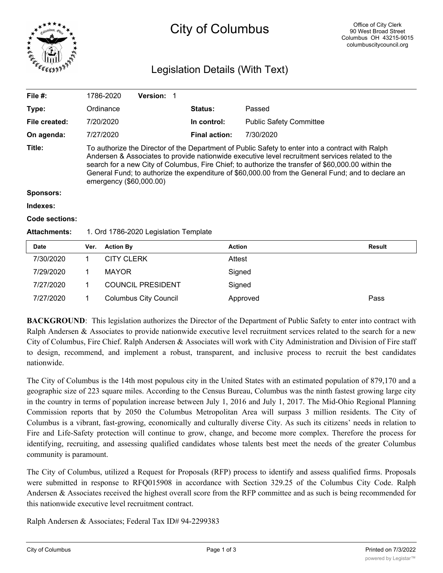

# City of Columbus

# Legislation Details (With Text)

| File $#$ :            |                                                                                                                                                                                                                                                                                                                                                                                                                                            | 1786-2020         | <b>Version:</b>          |                      |                |                                |  |               |
|-----------------------|--------------------------------------------------------------------------------------------------------------------------------------------------------------------------------------------------------------------------------------------------------------------------------------------------------------------------------------------------------------------------------------------------------------------------------------------|-------------------|--------------------------|----------------------|----------------|--------------------------------|--|---------------|
| Type:                 |                                                                                                                                                                                                                                                                                                                                                                                                                                            | Ordinance         |                          |                      | <b>Status:</b> | Passed                         |  |               |
| File created:         |                                                                                                                                                                                                                                                                                                                                                                                                                                            | 7/20/2020         |                          |                      | In control:    | <b>Public Safety Committee</b> |  |               |
| On agenda:            |                                                                                                                                                                                                                                                                                                                                                                                                                                            | 7/27/2020         |                          | <b>Final action:</b> | 7/30/2020      |                                |  |               |
| Title:                | To authorize the Director of the Department of Public Safety to enter into a contract with Ralph<br>Andersen & Associates to provide nationwide executive level recruitment services related to the<br>search for a new City of Columbus, Fire Chief; to authorize the transfer of \$60,000.00 within the<br>General Fund; to authorize the expenditure of \$60,000.00 from the General Fund; and to declare an<br>emergency (\$60,000.00) |                   |                          |                      |                |                                |  |               |
| <b>Sponsors:</b>      |                                                                                                                                                                                                                                                                                                                                                                                                                                            |                   |                          |                      |                |                                |  |               |
| Indexes:              |                                                                                                                                                                                                                                                                                                                                                                                                                                            |                   |                          |                      |                |                                |  |               |
| <b>Code sections:</b> |                                                                                                                                                                                                                                                                                                                                                                                                                                            |                   |                          |                      |                |                                |  |               |
| <b>Attachments:</b>   | 1. Ord 1786-2020 Legislation Template                                                                                                                                                                                                                                                                                                                                                                                                      |                   |                          |                      |                |                                |  |               |
| <b>Date</b>           | Ver.                                                                                                                                                                                                                                                                                                                                                                                                                                       | <b>Action By</b>  |                          |                      | <b>Action</b>  |                                |  | <b>Result</b> |
| 7/30/2020             | 1                                                                                                                                                                                                                                                                                                                                                                                                                                          | <b>CITY CLERK</b> |                          |                      |                | Attest                         |  |               |
| 7/29/2020             |                                                                                                                                                                                                                                                                                                                                                                                                                                            | <b>MAYOR</b>      |                          |                      |                | Signed                         |  |               |
| 7/27/2020             |                                                                                                                                                                                                                                                                                                                                                                                                                                            |                   | <b>COUNCIL PRESIDENT</b> |                      |                | Signed                         |  |               |

**BACKGROUND:** This legislation authorizes the Director of the Department of Public Safety to enter into contract with Ralph Andersen & Associates to provide nationwide executive level recruitment services related to the search for a new City of Columbus, Fire Chief. Ralph Andersen & Associates will work with City Administration and Division of Fire staff to design, recommend, and implement a robust, transparent, and inclusive process to recruit the best candidates nationwide.

7/27/2020 1 Columbus City Council Approved Pass

The City of Columbus is the 14th most populous city in the United States with an estimated population of 879,170 and a geographic size of 223 square miles. According to the Census Bureau, Columbus was the ninth fastest growing large city in the country in terms of population increase between July 1, 2016 and July 1, 2017. The Mid-Ohio Regional Planning Commission reports that by 2050 the Columbus Metropolitan Area will surpass 3 million residents. The City of Columbus is a vibrant, fast-growing, economically and culturally diverse City. As such its citizens' needs in relation to Fire and Life-Safety protection will continue to grow, change, and become more complex. Therefore the process for identifying, recruiting, and assessing qualified candidates whose talents best meet the needs of the greater Columbus community is paramount.

The City of Columbus, utilized a Request for Proposals (RFP) process to identify and assess qualified firms. Proposals were submitted in response to RFQ015908 in accordance with Section 329.25 of the Columbus City Code. Ralph Andersen & Associates received the highest overall score from the RFP committee and as such is being recommended for this nationwide executive level recruitment contract.

Ralph Andersen & Associates; Federal Tax ID# 94-2299383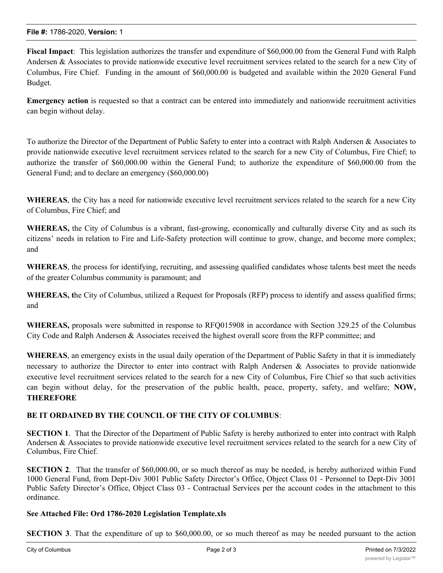**Fiscal Impact**: This legislation authorizes the transfer and expenditure of \$60,000.00 from the General Fund with Ralph Andersen & Associates to provide nationwide executive level recruitment services related to the search for a new City of Columbus, Fire Chief. Funding in the amount of \$60,000.00 is budgeted and available within the 2020 General Fund Budget.

**Emergency action** is requested so that a contract can be entered into immediately and nationwide recruitment activities can begin without delay.

To authorize the Director of the Department of Public Safety to enter into a contract with Ralph Andersen & Associates to provide nationwide executive level recruitment services related to the search for a new City of Columbus, Fire Chief; to authorize the transfer of \$60,000.00 within the General Fund; to authorize the expenditure of \$60,000.00 from the General Fund; and to declare an emergency (\$60,000.00)

**WHEREAS**, the City has a need for nationwide executive level recruitment services related to the search for a new City of Columbus, Fire Chief; and

**WHEREAS,** the City of Columbus is a vibrant, fast-growing, economically and culturally diverse City and as such its citizens' needs in relation to Fire and Life-Safety protection will continue to grow, change, and become more complex; and

**WHEREAS**, the process for identifying, recruiting, and assessing qualified candidates whose talents best meet the needs of the greater Columbus community is paramount; and

**WHEREAS, t**he City of Columbus, utilized a Request for Proposals (RFP) process to identify and assess qualified firms; and

**WHEREAS,** proposals were submitted in response to RFQ015908 in accordance with Section 329.25 of the Columbus City Code and Ralph Andersen & Associates received the highest overall score from the RFP committee; and

**WHEREAS**, an emergency exists in the usual daily operation of the Department of Public Safety in that it is immediately necessary to authorize the Director to enter into contract with Ralph Andersen & Associates to provide nationwide executive level recruitment services related to the search for a new City of Columbus, Fire Chief so that such activities can begin without delay, for the preservation of the public health, peace, property, safety, and welfare; **NOW, THEREFORE**

## **BE IT ORDAINED BY THE COUNCIL OF THE CITY OF COLUMBUS**:

**SECTION 1**. That the Director of the Department of Public Safety is hereby authorized to enter into contract with Ralph Andersen & Associates to provide nationwide executive level recruitment services related to the search for a new City of Columbus, Fire Chief.

**SECTION 2.** That the transfer of \$60,000.00, or so much thereof as may be needed, is hereby authorized within Fund 1000 General Fund, from Dept-Div 3001 Public Safety Director's Office, Object Class 01 - Personnel to Dept-Div 3001 Public Safety Director's Office, Object Class 03 - Contractual Services per the account codes in the attachment to this ordinance.

## **See Attached File: Ord 1786-2020 Legislation Template.xls**

**SECTION 3**. That the expenditure of up to \$60,000.00, or so much thereof as may be needed pursuant to the action